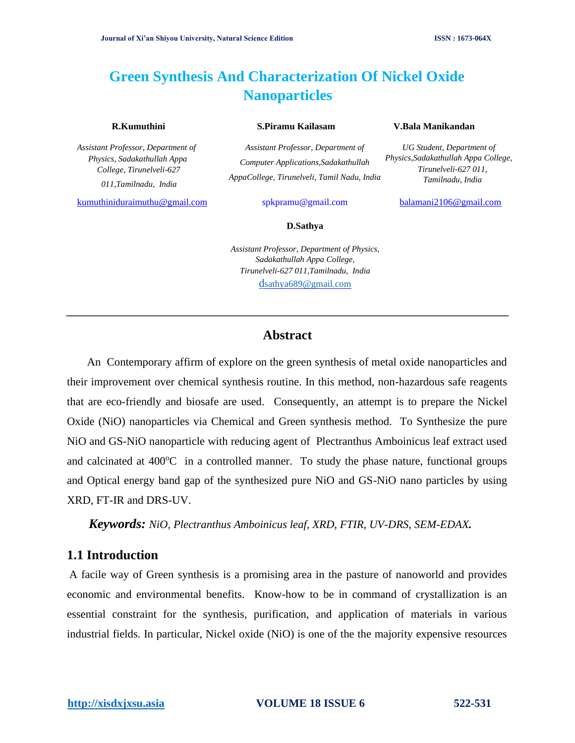# **Green Synthesis And Characterization Of Nickel Oxide Nanoparticles**

*Assistant Professor, Department of Physics, Sadakathullah Appa College, Tirunelveli-627 011,Tamilnadu, India*

kumuthiniduraimuthu@gmail.com spkpramu@gmail.com balamani2106@gmail.com

*Assistant Professor, Department of Computer Applications,Sadakathullah AppaCollege, Tirunelveli, Tamil Nadu, India*

#### **R.Kumuthini S.Piramu Kailasam V.Bala Manikandan**

*UG Student, Department of Physics,Sadakathullah Appa College, Tirunelveli-627 011, Tamilnadu, India*

#### **D.Sathya**

*Assistant Professor, Department of Physics, Sadakathullah Appa College, Tirunelveli-627 011,Tamilnadu, India* [d](mailto:dsathya689@gmail.com)[sathya689@gmail.com](mailto:dsathya689@gmail.com)

## **Abstract**

An Contemporary affirm of explore on the green synthesis of metal oxide nanoparticles and their improvement over chemical synthesis routine. In this method, non-hazardous safe reagents that are eco-friendly and biosafe are used. Consequently, an attempt is to prepare the Nickel Oxide (NiO) nanoparticles via Chemical and Green synthesis method. To Synthesize the pure NiO and GS-NiO nanoparticle with reducing agent of Plectranthus Amboinicus leaf extract used and calcinated at  $400^{\circ}$ C in a controlled manner. To study the phase nature, functional groups and Optical energy band gap of the synthesized pure NiO and GS-NiO nano particles by using XRD, FT-IR and DRS-UV.

*Keywords: NiO, Plectranthus Amboinicus leaf, XRD, FTIR, UV-DRS, SEM-EDAX.* 

#### **1.1 Introduction**

A facile way of Green synthesis is a promising area in the pasture of nanoworld and provides economic and environmental benefits. Know-how to be in command of crystallization is an essential constraint for the synthesis, purification, and application of materials in various industrial fields. In particular, Nickel oxide (NiO) is one of the the majority expensive resources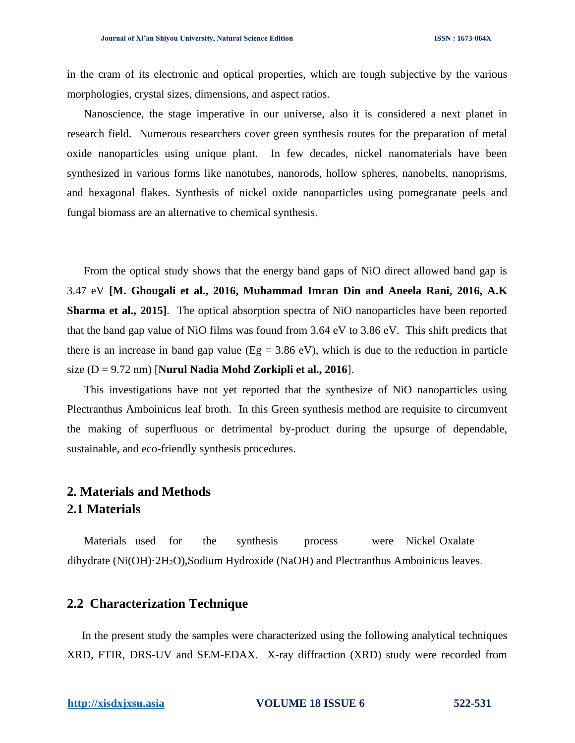in the cram of its electronic and optical properties, which are tough subjective by the various morphologies, crystal sizes, dimensions, and aspect ratios.

Nanoscience, the stage imperative in our universe, also it is considered a next planet in research field. Numerous researchers cover green synthesis routes for the preparation of metal oxide nanoparticles using unique plant. In few decades, nickel nanomaterials have been synthesized in various forms like nanotubes, nanorods, hollow spheres, nanobelts, nanoprisms, and hexagonal flakes. Synthesis of nickel oxide nanoparticles using pomegranate peels and fungal biomass are an alternative to chemical synthesis.

From the optical study shows that the energy band gaps of NiO direct allowed band gap is 3.47 eV **[M. Ghougali et al., 2016, Muhammad Imran Din and Aneela Rani, 2016, A.K Sharma et al., 2015**]. The optical absorption spectra of NiO nanoparticles have been reported that the band gap value of NiO films was found from 3.64 eV to 3.86 eV. This shift predicts that there is an increase in band gap value ( $Eg = 3.86$  eV), which is due to the reduction in particle size (D = 9.72 nm) [**Nurul Nadia Mohd Zorkipli et al., 2016**].

This investigations have not yet reported that the synthesize of NiO nanoparticles using Plectranthus Amboinicus leaf broth. In this Green synthesis method are requisite to circumvent the making of superfluous or detrimental by-product during the upsurge of dependable, sustainable, and eco-friendly synthesis procedures.

## **2. Materials and Methods 2.1 Materials**

Materials used for the synthesis process were Nickel Oxalate dihydrate (Ni(OH)·2H2O),Sodium Hydroxide (NaOH) and Plectranthus Amboinicus leaves.

#### **2.2 Characterization Technique**

In the present study the samples were characterized using the following analytical techniques XRD, FTIR, DRS-UV and SEM-EDAX. X-ray diffraction (XRD) study were recorded from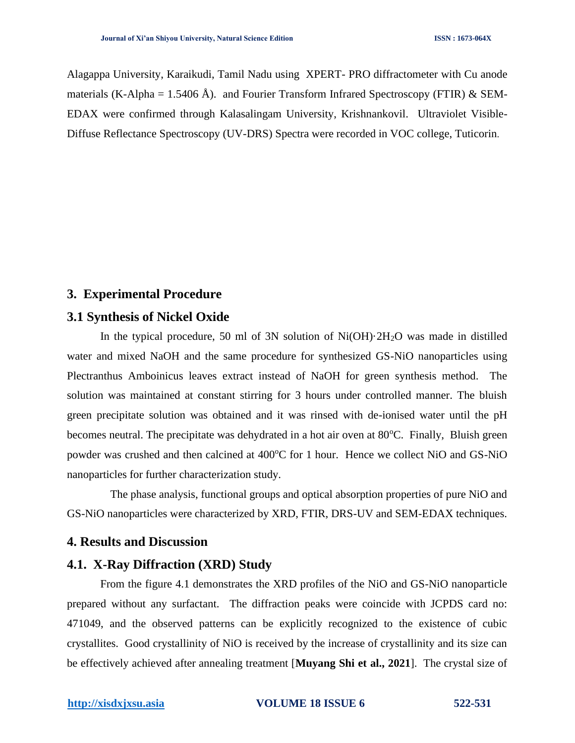Alagappa University, Karaikudi, Tamil Nadu using XPERT- PRO diffractometer with Cu anode materials (K-Alpha = 1.5406 Å). and Fourier Transform Infrared Spectroscopy (FTIR) & SEM-EDAX were confirmed through Kalasalingam University, Krishnankovil. Ultraviolet Visible-Diffuse Reflectance Spectroscopy (UV-DRS) Spectra were recorded in VOC college, Tuticorin.

### **3. Experimental Procedure**

#### **3.1 Synthesis of Nickel Oxide**

In the typical procedure, 50 ml of 3N solution of Ni(OH)·2H2O was made in distilled water and mixed NaOH and the same procedure for synthesized GS-NiO nanoparticles using Plectranthus Amboinicus leaves extract instead of NaOH for green synthesis method. The solution was maintained at constant stirring for 3 hours under controlled manner. The bluish green precipitate solution was obtained and it was rinsed with de-ionised water until the pH becomes neutral. The precipitate was dehydrated in a hot air oven at  $80^{\circ}$ C. Finally, Bluish green powder was crushed and then calcined at 400°C for 1 hour. Hence we collect NiO and GS-NiO nanoparticles for further characterization study.

The phase analysis, functional groups and optical absorption properties of pure NiO and GS-NiO nanoparticles were characterized by XRD, FTIR, DRS-UV and SEM-EDAX techniques.

#### **4. Results and Discussion**

#### **4.1. X-Ray Diffraction (XRD) Study**

From the figure 4.1 demonstrates the XRD profiles of the NiO and GS-NiO nanoparticle prepared without any surfactant. The diffraction peaks were coincide with JCPDS card no: 471049, and the observed patterns can be explicitly recognized to the existence of cubic crystallites. Good crystallinity of NiO is received by the increase of crystallinity and its size can be effectively achieved after annealing treatment [**Muyang Shi et al., 2021**]. The crystal size of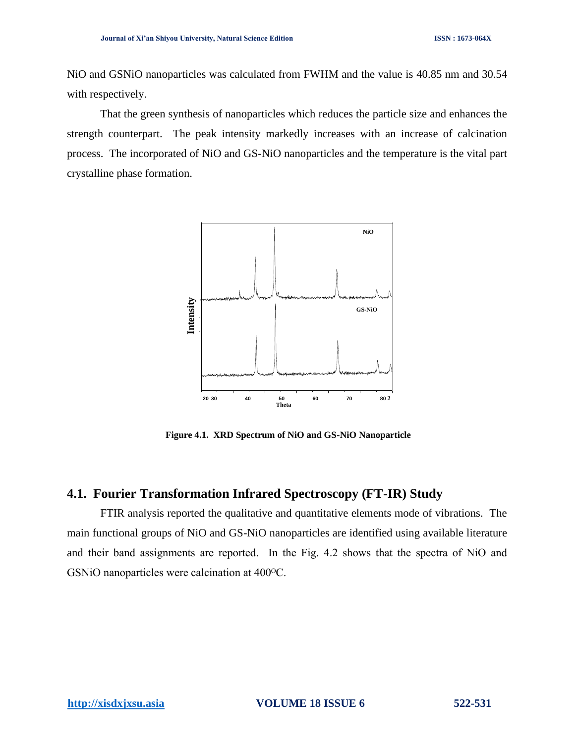NiO and GSNiO nanoparticles was calculated from FWHM and the value is 40.85 nm and 30.54 with respectively.

That the green synthesis of nanoparticles which reduces the particle size and enhances the strength counterpart. The peak intensity markedly increases with an increase of calcination process. The incorporated of NiO and GS-NiO nanoparticles and the temperature is the vital part crystalline phase formation.



**Figure 4.1. XRD Spectrum of NiO and GS-NiO Nanoparticle** 

#### **4.1. Fourier Transformation Infrared Spectroscopy (FT-IR) Study**

FTIR analysis reported the qualitative and quantitative elements mode of vibrations. The main functional groups of NiO and GS-NiO nanoparticles are identified using available literature and their band assignments are reported. In the Fig. 4.2 shows that the spectra of NiO and GSNiO nanoparticles were calcination at 400 °C.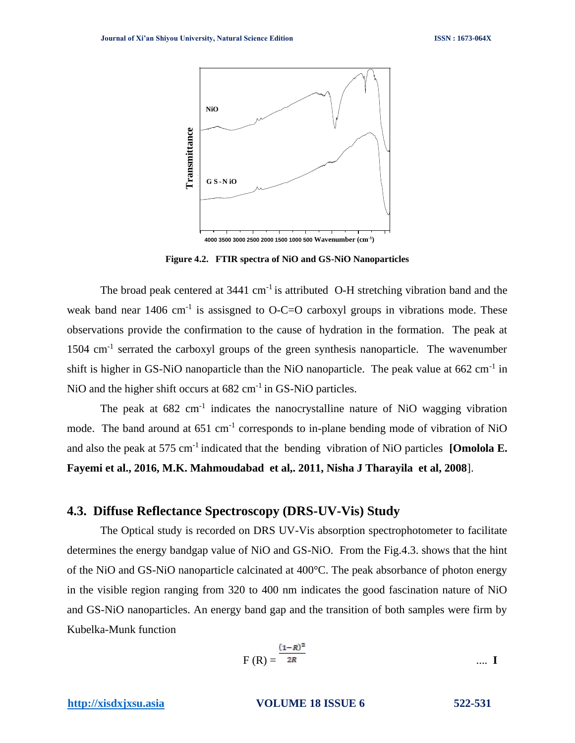

**4000 3500 3000 2500 2000 1500 1000 500 Wavenumber (cm-1 )**

**Figure 4.2. FTIR spectra of NiO and GS-NiO Nanoparticles** 

The broad peak centered at  $3441 \text{ cm}^{-1}$  is attributed O-H stretching vibration band and the weak band near  $1406 \text{ cm}^{-1}$  is assisgned to O-C=O carboxyl groups in vibrations mode. These observations provide the confirmation to the cause of hydration in the formation. The peak at 1504 cm<sup>-1</sup> serrated the carboxyl groups of the green synthesis nanoparticle. The wavenumber shift is higher in GS-NiO nanoparticle than the NiO nanoparticle. The peak value at  $662 \text{ cm}^{-1}$  in NiO and the higher shift occurs at 682 cm<sup>-1</sup> in GS-NiO particles.

The peak at  $682 \text{ cm}^{-1}$  indicates the nanocrystalline nature of NiO wagging vibration mode. The band around at 651 cm<sup>-1</sup> corresponds to in-plane bending mode of vibration of NiO and also the peak at 575 cm<sup>-1</sup> indicated that the bending vibration of NiO particles **[Omolola E. Fayemi et al., 2016, M.K. Mahmoudabad et al,. 2011, Nisha J Tharayila et al, 2008**].

### **4.3. Diffuse Reflectance Spectroscopy (DRS-UV-Vis) Study**

The Optical study is recorded on DRS UV-Vis absorption spectrophotometer to facilitate determines the energy bandgap value of NiO and GS-NiO. From the Fig.4.3. shows that the hint of the NiO and GS-NiO nanoparticle calcinated at 400°C. The peak absorbance of photon energy in the visible region ranging from 320 to 400 nm indicates the good fascination nature of NiO and GS-NiO nanoparticles. An energy band gap and the transition of both samples were firm by Kubelka-Munk function

$$
F(R) = \frac{(1-R)^2}{2R}
$$
 .... **I**

**[http://xisdxjxsu.asia](http://xisdxjxsu.asia/) VOLUME 18 ISSUE 6 522-531**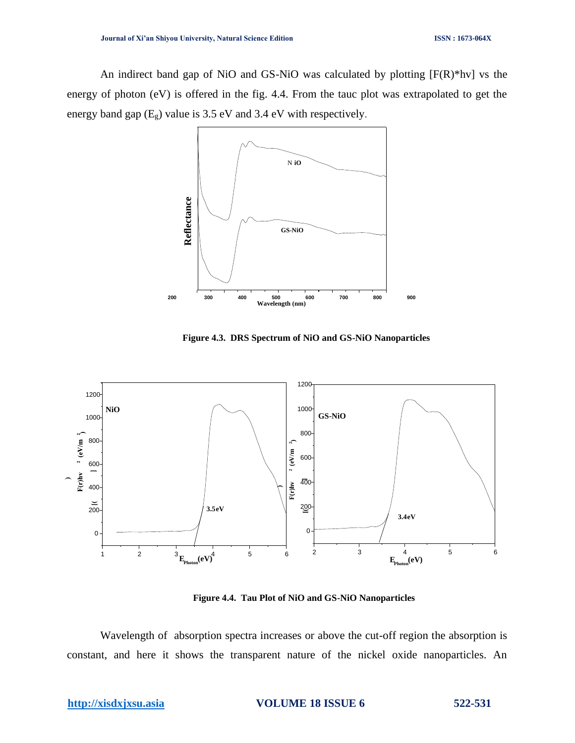An indirect band gap of NiO and GS-NiO was calculated by plotting [F(R)\*hv] vs the energy of photon (eV) is offered in the fig. 4.4. From the tauc plot was extrapolated to get the energy band gap  $(E_g)$  value is 3.5 eV and 3.4 eV with respectively.



 **Figure 4.3. DRS Spectrum of NiO and GS-NiO Nanoparticles** 



**Figure 4.4. Tau Plot of NiO and GS-NiO Nanoparticles** 

Wavelength of absorption spectra increases or above the cut-off region the absorption is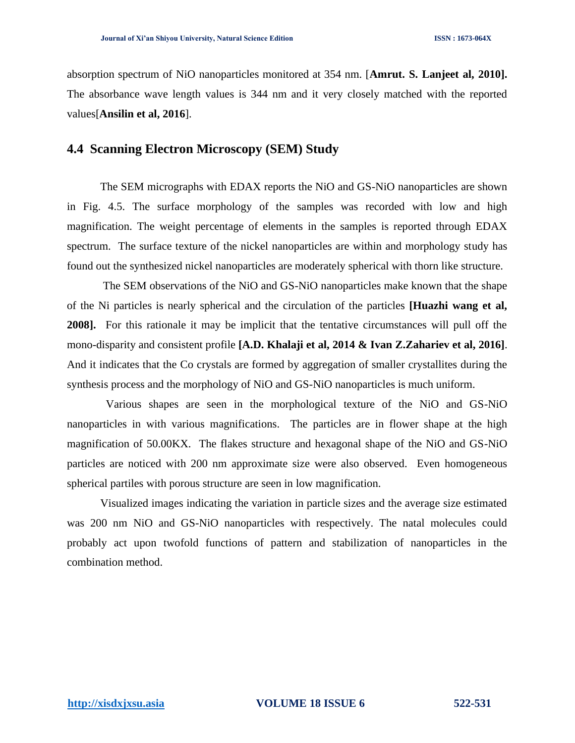absorption spectrum of NiO nanoparticles monitored at 354 nm. [**Amrut. S. Lanjeet al, 2010].**  The absorbance wave length values is 344 nm and it very closely matched with the reported values[**Ansilin et al, 2016**].

### **4.4 Scanning Electron Microscopy (SEM) Study**

The SEM micrographs with EDAX reports the NiO and GS-NiO nanoparticles are shown in Fig. 4.5. The surface morphology of the samples was recorded with low and high magnification. The weight percentage of elements in the samples is reported through EDAX spectrum. The surface texture of the nickel nanoparticles are within and morphology study has found out the synthesized nickel nanoparticles are moderately spherical with thorn like structure.

The SEM observations of the NiO and GS-NiO nanoparticles make known that the shape of the Ni particles is nearly spherical and the circulation of the particles **[Huazhi wang et al, 2008].** For this rationale it may be implicit that the tentative circumstances will pull off the mono-disparity and consistent profile **[A.D. Khalaji et al, 2014 & Ivan Z.Zahariev et al, 2016]**. And it indicates that the Co crystals are formed by aggregation of smaller crystallites during the synthesis process and the morphology of NiO and GS-NiO nanoparticles is much uniform.

 Various shapes are seen in the morphological texture of the NiO and GS-NiO nanoparticles in with various magnifications. The particles are in flower shape at the high magnification of 50.00KX. The flakes structure and hexagonal shape of the NiO and GS-NiO particles are noticed with 200 nm approximate size were also observed. Even homogeneous spherical partiles with porous structure are seen in low magnification.

Visualized images indicating the variation in particle sizes and the average size estimated was 200 nm NiO and GS-NiO nanoparticles with respectively. The natal molecules could probably act upon twofold functions of pattern and stabilization of nanoparticles in the combination method.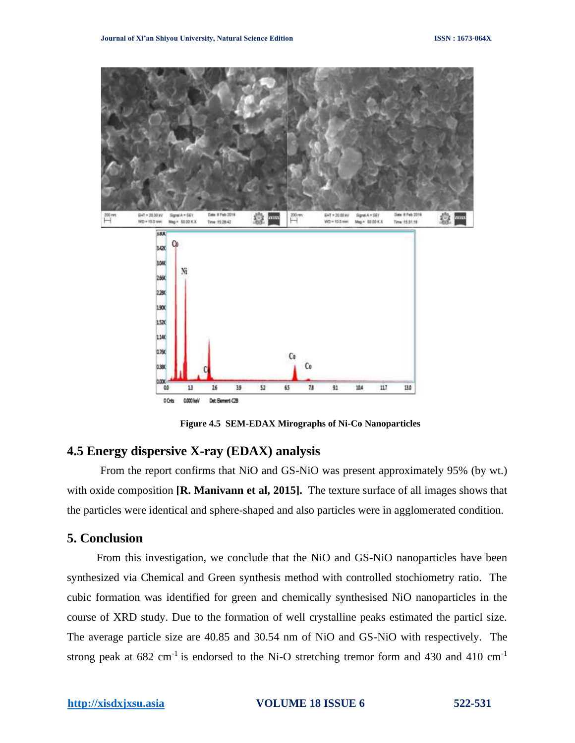

**Figure 4.5 SEM-EDAX Mirographs of Ni-Co Nanoparticles** 

### **4.5 Energy dispersive X-ray (EDAX) analysis**

From the report confirms that NiO and GS-NiO was present approximately 95% (by wt.) with oxide composition **[R. Manivann et al, 2015].** The texture surface of all images shows that the particles were identical and sphere-shaped and also particles were in agglomerated condition.

### **5. Conclusion**

From this investigation, we conclude that the NiO and GS-NiO nanoparticles have been synthesized via Chemical and Green synthesis method with controlled stochiometry ratio. The cubic formation was identified for green and chemically synthesised NiO nanoparticles in the course of XRD study. Due to the formation of well crystalline peaks estimated the particl size. The average particle size are 40.85 and 30.54 nm of NiO and GS-NiO with respectively. The strong peak at  $682 \text{ cm}^{-1}$  is endorsed to the Ni-O stretching tremor form and 430 and 410 cm<sup>-1</sup>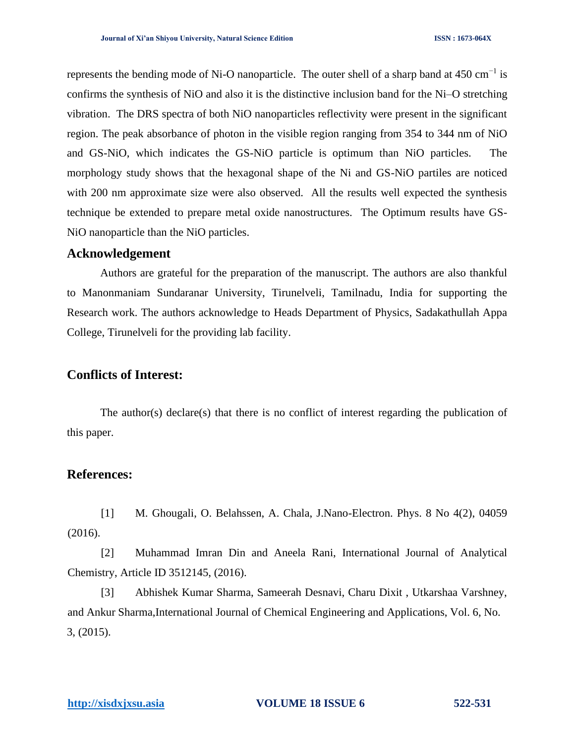represents the bending mode of Ni-O nanoparticle. The outer shell of a sharp band at 450 cm<sup>-1</sup> is confirms the synthesis of NiO and also it is the distinctive inclusion band for the Ni–O stretching vibration. The DRS spectra of both NiO nanoparticles reflectivity were present in the significant region. The peak absorbance of photon in the visible region ranging from 354 to 344 nm of NiO and GS-NiO, which indicates the GS-NiO particle is optimum than NiO particles. The morphology study shows that the hexagonal shape of the Ni and GS-NiO partiles are noticed with 200 nm approximate size were also observed. All the results well expected the synthesis technique be extended to prepare metal oxide nanostructures. The Optimum results have GS-NiO nanoparticle than the NiO particles.

### **Acknowledgement**

Authors are grateful for the preparation of the manuscript. The authors are also thankful to Manonmaniam Sundaranar University, Tirunelveli, Tamilnadu, India for supporting the Research work. The authors acknowledge to Heads Department of Physics, Sadakathullah Appa College, Tirunelveli for the providing lab facility.

### **Conflicts of Interest:**

The author(s) declare(s) that there is no conflict of interest regarding the publication of this paper.

#### **References:**

[1] M. Ghougali, O. Belahssen, A. Chala, J.Nano-Electron. Phys. 8 No 4(2), 04059 (2016).

[2] Muhammad Imran Din and Aneela Rani, International Journal of Analytical Chemistry, Article ID 3512145, (2016).

[3] Abhishek Kumar Sharma, Sameerah Desnavi, Charu Dixit , Utkarshaa Varshney, and Ankur Sharma,International Journal of Chemical Engineering and Applications, Vol. 6, No. 3, (2015).